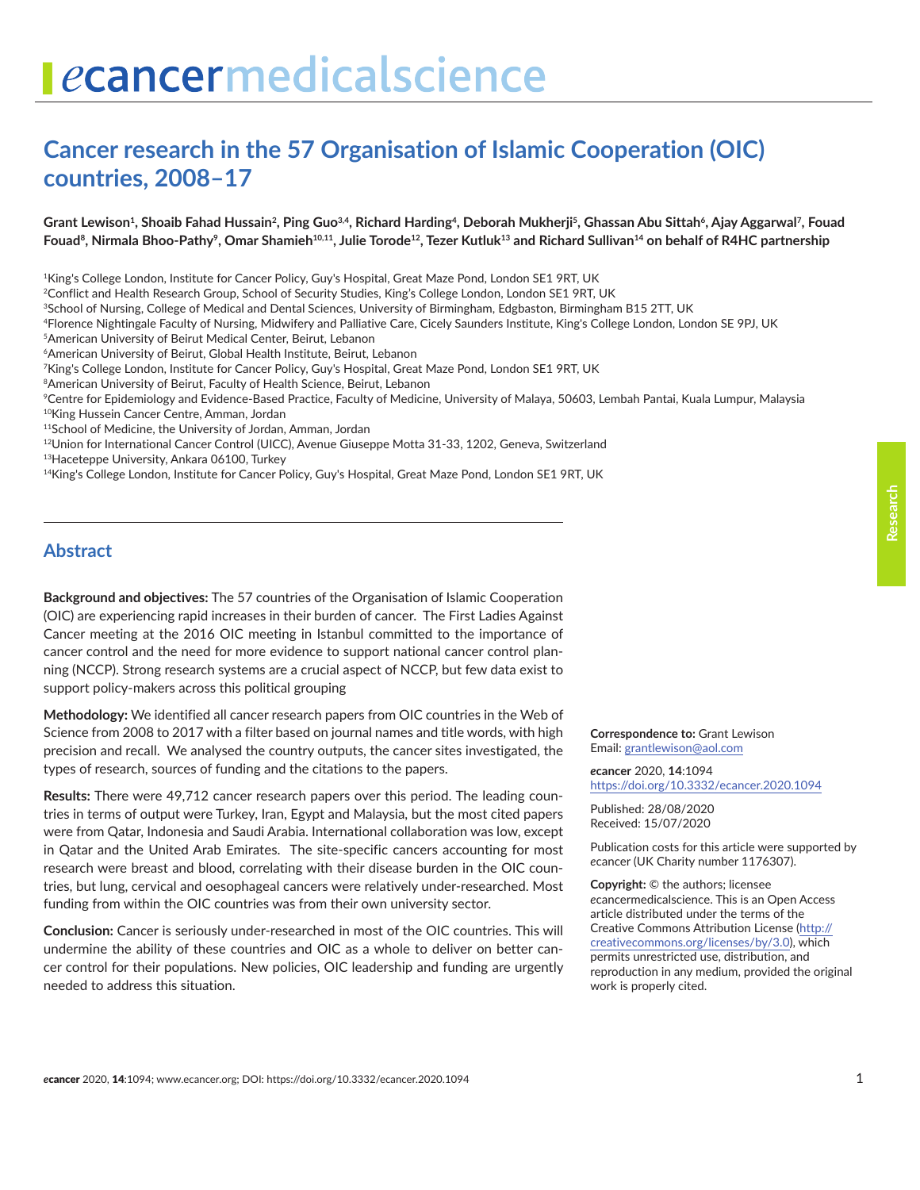# ecancermedicalscience

# **Cancer research in the 57 Organisation of Islamic Cooperation (OIC) countries, 2008–17**

#### Grant Lewison<sup>1</sup>, Shoaib Fahad Hussain<sup>2</sup>, Ping Guo<sup>3,4</sup>, Richard Harding<sup>4</sup>, Deborah Mukherji<sup>5</sup>, Ghassan Abu Sittah<sup>6</sup>, Ajay Aggarwal<sup>7</sup>, Fouad Fouad<sup>8</sup>, Nirmala Bhoo-Pathy<sup>9</sup>, Omar Shamieh<sup>10,11</sup>, Julie Torode<sup>12</sup>, Tezer Kutluk<sup>13</sup> and Richard Sullivan<sup>14</sup> on behalf of R4HC partnership

<sup>1</sup>King's College London, Institute for Cancer Policy, Guy's Hospital, Great Maze Pond, London SE1 9RT, UK

2Conflict and Health Research Group, School of Security Studies, King's College London, London SE1 9RT, UK

3School of Nursing, College of Medical and Dental Sciences, University of Birmingham, Edgbaston, Birmingham B15 2TT, UK

4Florence Nightingale Faculty of Nursing, Midwifery and Palliative Care, Cicely Saunders Institute, King's College London, London SE 9PJ, UK

5American University of Beirut Medical Center, Beirut, Lebanon

6American University of Beirut, Global Health Institute, Beirut, Lebanon

7King's College London, Institute for Cancer Policy, Guy's Hospital, Great Maze Pond, London SE1 9RT, UK

<sup>8</sup> American University of Beirut, Faculty of Health Science, Beirut, Lebanon

9Centre for Epidemiology and Evidence-Based Practice, Faculty of Medicine, University of Malaya, 50603, Lembah Pantai, Kuala Lumpur, Malaysia 10King Hussein Cancer Centre, Amman, Jordan

11School of Medicine, the University of Jordan, Amman, Jordan

12Union for International Cancer Control (UICC), Avenue Giuseppe Motta 31-33, 1202, Geneva, Switzerland

13Haceteppe University, Ankara 06100, Turkey

14King's College London, Institute for Cancer Policy, Guy's Hospital, Great Maze Pond, London SE1 9RT, UK

#### **Abstract**

**Background and objectives:** The 57 countries of the Organisation of Islamic Cooperation (OIC) are experiencing rapid increases in their burden of cancer. The First Ladies Against Cancer meeting at the 2016 OIC meeting in Istanbul committed to the importance of cancer control and the need for more evidence to support national cancer control planning (NCCP). Strong research systems are a crucial aspect of NCCP, but few data exist to support policy-makers across this political grouping

**Methodology:** We identified all cancer research papers from OIC countries in the Web of Science from 2008 to 2017 with a filter based on journal names and title words, with high precision and recall. We analysed the country outputs, the cancer sites investigated, the types of research, sources of funding and the citations to the papers.

**Results:** There were 49,712 cancer research papers over this period. The leading countries in terms of output were Turkey, Iran, Egypt and Malaysia, but the most cited papers were from Qatar, Indonesia and Saudi Arabia. International collaboration was low, except in Qatar and the United Arab Emirates. The site-specific cancers accounting for most research were breast and blood, correlating with their disease burden in the OIC countries, but lung, cervical and oesophageal cancers were relatively under-researched. Most funding from within the OIC countries was from their own university sector.

**Conclusion:** Cancer is seriously under-researched in most of the OIC countries. This will undermine the ability of these countries and OIC as a whole to deliver on better cancer control for their populations. New policies, OIC leadership and funding are urgently needed to address this situation.

**Correspondence to:** Grant Lewison Email: [grantlewison@aol.com](mailto:grantlewison@aol.com)

*e***cancer** 2020, **14**:1094 [https://doi.org/10.3332/ecancer.2020.109](https://doi.org/10.3332/ecancer.2020.1094)4

Published: 28/08/2020 Received: 15/07/2020

Publication costs for this article were supported by *e*cancer (UK Charity number 1176307).

**Copyright:** © the authors; licensee *e*cancermedicalscience. This is an Open Access article distributed under the terms of the Creative Commons Attribution License [\(http://](http://creativecommons.org/licenses/by/3.0) [creativecommons.org/licenses/by/3.0\)](http://creativecommons.org/licenses/by/3.0), which permits unrestricted use, distribution, and reproduction in any medium, provided the original work is properly cited.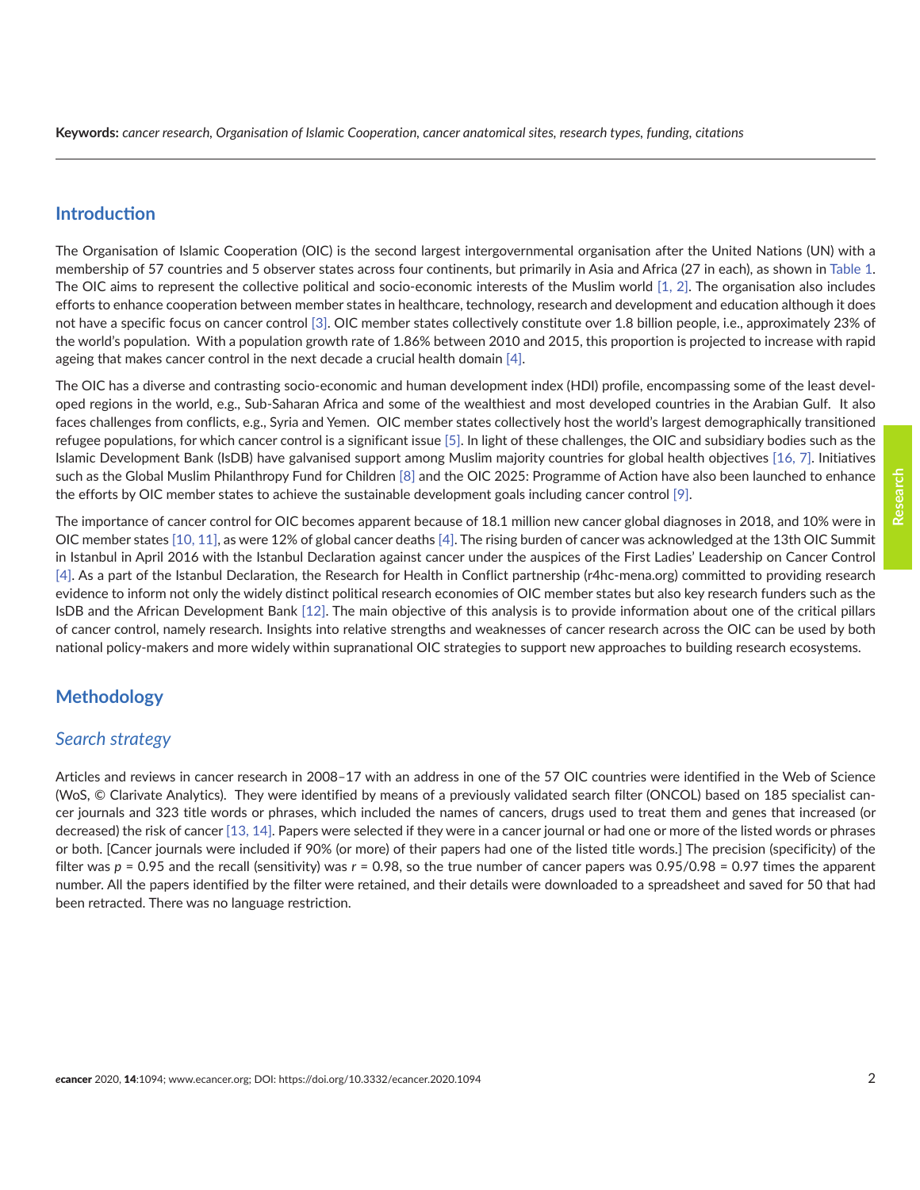#### **Introduction**

The Organisation of Islamic Cooperation (OIC) is the second largest intergovernmental organisation after the United Nations (UN) with a membership of 57 countries and 5 observer states across four continents, but primarily in Asia and Africa (27 in each), as shown in [Table 1.](#page-6-0) The OIC aims to represent the collective political and socio-economic interests of the Muslim world [\[1, 2\]](#page-13-0). The organisation also includes efforts to enhance cooperation between member states in healthcare, technology, research and development and education although it does not have a specific focus on cancer control [\[3\].](#page-13-0) OIC member states collectively constitute over 1.8 billion people, i.e., approximately 23% of the world's population. With a population growth rate of 1.86% between 2010 and 2015, this proportion is projected to increase with rapid ageing that makes cancer control in the next decade a crucial health domain [\[4\].](#page-13-0)

The OIC has a diverse and contrasting socio-economic and human development index (HDI) profile, encompassing some of the least developed regions in the world, e.g., Sub-Saharan Africa and some of the wealthiest and most developed countries in the Arabian Gulf. It also faces challenges from conflicts, e.g., Syria and Yemen. OIC member states collectively host the world's largest demographically transitioned refugee populations, for which cancer control is a significant issue [\[5\].](#page-13-0) In light of these challenges, the OIC and subsidiary bodies such as the Islamic Development Bank (IsDB) have galvanised support among Muslim majority countries for global health objectives [\[16,](#page-14-0) [7\]](#page-13-0). Initiatives such as the Global Muslim Philanthropy Fund for Children [\[8\]](#page-14-0) and the OIC 2025: Programme of Action have also been launched to enhance the efforts by OIC member states to achieve the sustainable development goals including cancer control [\[9\].](#page-14-0)

The importance of cancer control for OIC becomes apparent because of 18.1 million new cancer global diagnoses in 2018, and 10% were in OIC member states [\[10, 11\],](#page-14-0) as were 12% of global cancer deaths [\[4\].](#page-13-0) The rising burden of cancer was acknowledged at the 13th OIC Summit in Istanbul in April 2016 with the Istanbul Declaration against cancer under the auspices of the First Ladies' Leadership on Cancer Control [\[4\].](#page-13-0) As a part of the Istanbul Declaration, the Research for Health in Conflict partnership (r4hc-mena.org) committed to providing research evidence to inform not only the widely distinct political research economies of OIC member states but also key research funders such as the IsDB and the African Development Bank [\[12\].](#page-14-0) The main objective of this analysis is to provide information about one of the critical pillars of cancer control, namely research. Insights into relative strengths and weaknesses of cancer research across the OIC can be used by both national policy-makers and more widely within supranational OIC strategies to support new approaches to building research ecosystems.

#### **Methodology**

#### *Search strategy*

Articles and reviews in cancer research in 2008–17 with an address in one of the 57 OIC countries were identified in the Web of Science (WoS, © Clarivate Analytics). They were identified by means of a previously validated search filter (ONCOL) based on 185 specialist cancer journals and 323 title words or phrases, which included the names of cancers, drugs used to treat them and genes that increased (or decreased) the risk of cancer [\[13, 14\]](#page-14-0). Papers were selected if they were in a cancer journal or had one or more of the listed words or phrases or both. [Cancer journals were included if 90% (or more) of their papers had one of the listed title words.] The precision (specificity) of the filter was *p* = 0.95 and the recall (sensitivity) was *r* = 0.98, so the true number of cancer papers was 0.95/0.98 = 0.97 times the apparent number. All the papers identified by the filter were retained, and their details were downloaded to a spreadsheet and saved for 50 that had been retracted. There was no language restriction.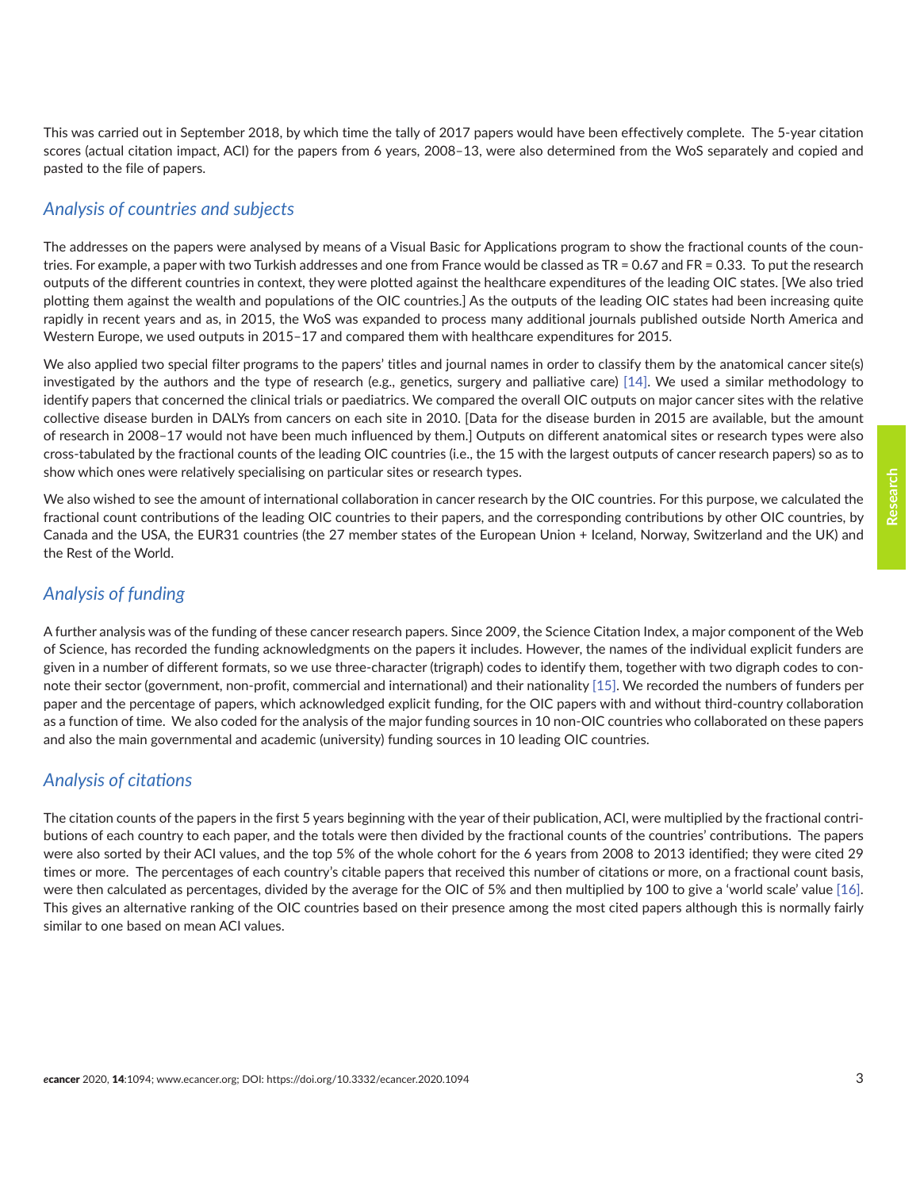This was carried out in September 2018, by which time the tally of 2017 papers would have been effectively complete. The 5-year citation scores (actual citation impact, ACI) for the papers from 6 years, 2008–13, were also determined from the WoS separately and copied and pasted to the file of papers.

# *Analysis of countries and subjects*

The addresses on the papers were analysed by means of a Visual Basic for Applications program to show the fractional counts of the countries. For example, a paper with two Turkish addresses and one from France would be classed as TR = 0.67 and FR = 0.33. To put the research outputs of the different countries in context, they were plotted against the healthcare expenditures of the leading OIC states. [We also tried plotting them against the wealth and populations of the OIC countries.] As the outputs of the leading OIC states had been increasing quite rapidly in recent years and as, in 2015, the WoS was expanded to process many additional journals published outside North America and Western Europe, we used outputs in 2015–17 and compared them with healthcare expenditures for 2015.

We also applied two special filter programs to the papers' titles and journal names in order to classify them by the anatomical cancer site(s) investigated by the authors and the type of research (e.g., genetics, surgery and palliative care) [\[14\].](#page-14-0) We used a similar methodology to identify papers that concerned the clinical trials or paediatrics. We compared the overall OIC outputs on major cancer sites with the relative collective disease burden in DALYs from cancers on each site in 2010. [Data for the disease burden in 2015 are available, but the amount of research in 2008–17 would not have been much influenced by them.] Outputs on different anatomical sites or research types were also cross-tabulated by the fractional counts of the leading OIC countries (i.e., the 15 with the largest outputs of cancer research papers) so as to show which ones were relatively specialising on particular sites or research types.

We also wished to see the amount of international collaboration in cancer research by the OIC countries. For this purpose, we calculated the fractional count contributions of the leading OIC countries to their papers, and the corresponding contributions by other OIC countries, by Canada and the USA, the EUR31 countries (the 27 member states of the European Union + Iceland, Norway, Switzerland and the UK) and the Rest of the World.

### *Analysis of funding*

A further analysis was of the funding of these cancer research papers. Since 2009, the Science Citation Index, a major component of the Web of Science, has recorded the funding acknowledgments on the papers it includes. However, the names of the individual explicit funders are given in a number of different formats, so we use three-character (trigraph) codes to identify them, together with two digraph codes to connote their sector (government, non-profit, commercial and international) and their nationality [\[15\]](#page-14-0). We recorded the numbers of funders per paper and the percentage of papers, which acknowledged explicit funding, for the OIC papers with and without third-country collaboration as a function of time. We also coded for the analysis of the major funding sources in 10 non-OIC countries who collaborated on these papers and also the main governmental and academic (university) funding sources in 10 leading OIC countries.

# *Analysis of citations*

The citation counts of the papers in the first 5 years beginning with the year of their publication, ACI, were multiplied by the fractional contributions of each country to each paper, and the totals were then divided by the fractional counts of the countries' contributions. The papers were also sorted by their ACI values, and the top 5% of the whole cohort for the 6 years from 2008 to 2013 identified; they were cited 29 times or more. The percentages of each country's citable papers that received this number of citations or more, on a fractional count basis, were then calculated as percentages, divided by the average for the OIC of 5% and then multiplied by 100 to give a 'world scale' value [\[16\].](#page-14-0) This gives an alternative ranking of the OIC countries based on their presence among the most cited papers although this is normally fairly similar to one based on mean ACI values.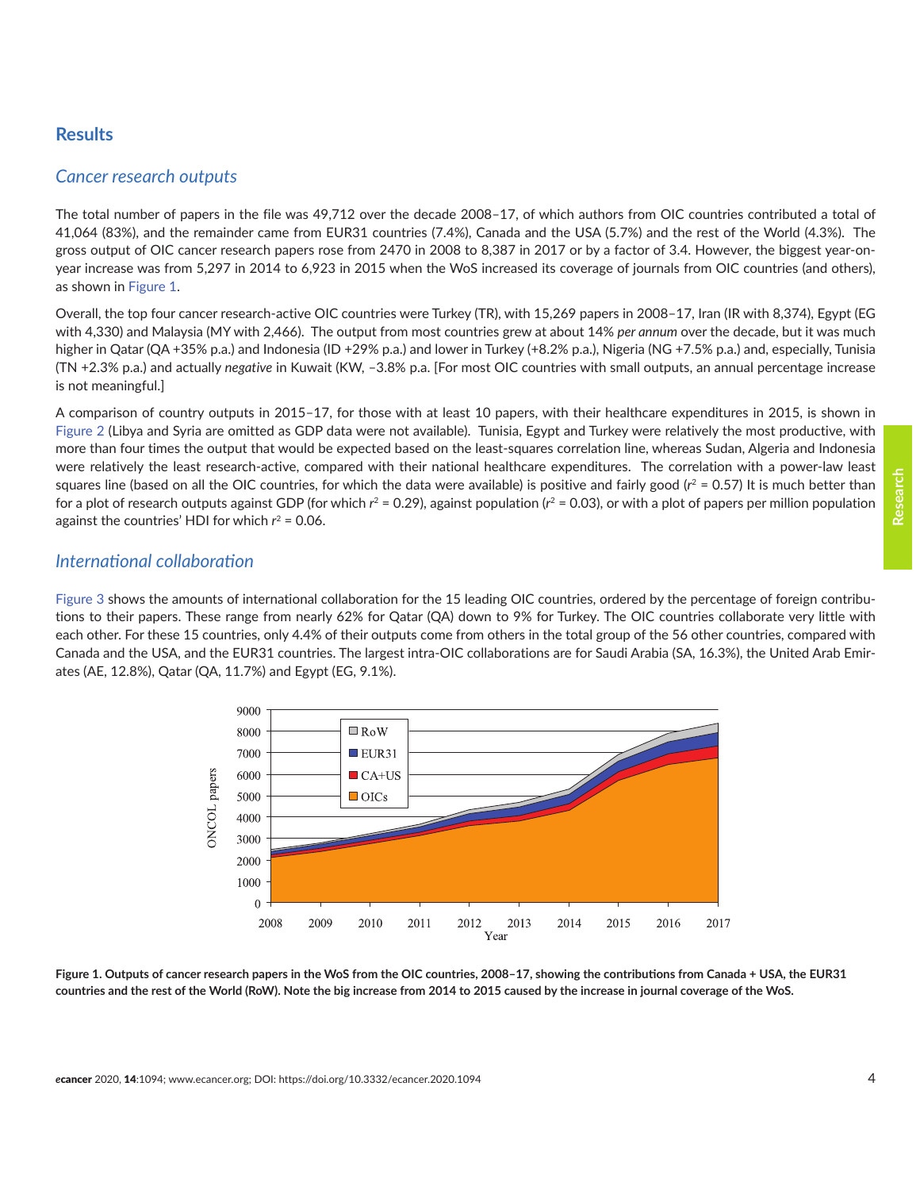#### **Results**

#### *Cancer research outputs*

The total number of papers in the file was 49,712 over the decade 2008–17, of which authors from OIC countries contributed a total of 41,064 (83%), and the remainder came from EUR31 countries (7.4%), Canada and the USA (5.7%) and the rest of the World (4.3%). The gross output of OIC cancer research papers rose from 2470 in 2008 to 8,387 in 2017 or by a factor of 3.4. However, the biggest year-onyear increase was from 5,297 in 2014 to 6,923 in 2015 when the WoS increased its coverage of journals from OIC countries (and others), as shown in Figure 1.

Overall, the top four cancer research-active OIC countries were Turkey (TR), with 15,269 papers in 2008–17, Iran (IR with 8,374), Egypt (EG with 4,330) and Malaysia (MY with 2,466). The output from most countries grew at about 14% *per annum* over the decade, but it was much higher in Qatar (QA +35% p.a.) and Indonesia (ID +29% p.a.) and lower in Turkey (+8.2% p.a.), Nigeria (NG +7.5% p.a.) and, especially, Tunisia (TN +2.3% p.a.) and actually *negative* in Kuwait (KW, –3.8% p.a. [For most OIC countries with small outputs, an annual percentage increase is not meaningful.]

A comparison of country outputs in 2015–17, for those with at least 10 papers, with their healthcare expenditures in 2015, is shown in [Figure 2](#page-4-0) (Libya and Syria are omitted as GDP data were not available). Tunisia, Egypt and Turkey were relatively the most productive, with more than four times the output that would be expected based on the least-squares correlation line, whereas Sudan, Algeria and Indonesia were relatively the least research-active, compared with their national healthcare expenditures. The correlation with a power-law least squares line (based on all the OIC countries, for which the data were available) is positive and fairly good  $(r^2 = 0.57)$  It is much better than for a plot of research outputs against GDP (for which  $r^2 = 0.29$ ), against population ( $r^2 = 0.03$ ), or with a plot of papers per million population against the countries' HDI for which  $r^2$  = 0.06.

#### *International collaboration*

[Figure 3](#page-5-0) shows the amounts of international collaboration for the 15 leading OIC countries, ordered by the percentage of foreign contributions to their papers. These range from nearly 62% for Qatar (QA) down to 9% for Turkey. The OIC countries collaborate very little with each other. For these 15 countries, only 4.4% of their outputs come from others in the total group of the 56 other countries, compared with Canada and the USA, and the EUR31 countries. The largest intra-OIC collaborations are for Saudi Arabia (SA, 16.3%), the United Arab Emirates (AE, 12.8%), Qatar (QA, 11.7%) and Egypt (EG, 9.1%).



**Figure 1. Outputs of cancer research papers in the WoS from the OIC countries, 2008–17, showing the contributions from Canada + USA, the EUR31 countries and the rest of the World (RoW). Note the big increase from 2014 to 2015 caused by the increase in journal coverage of the WoS.**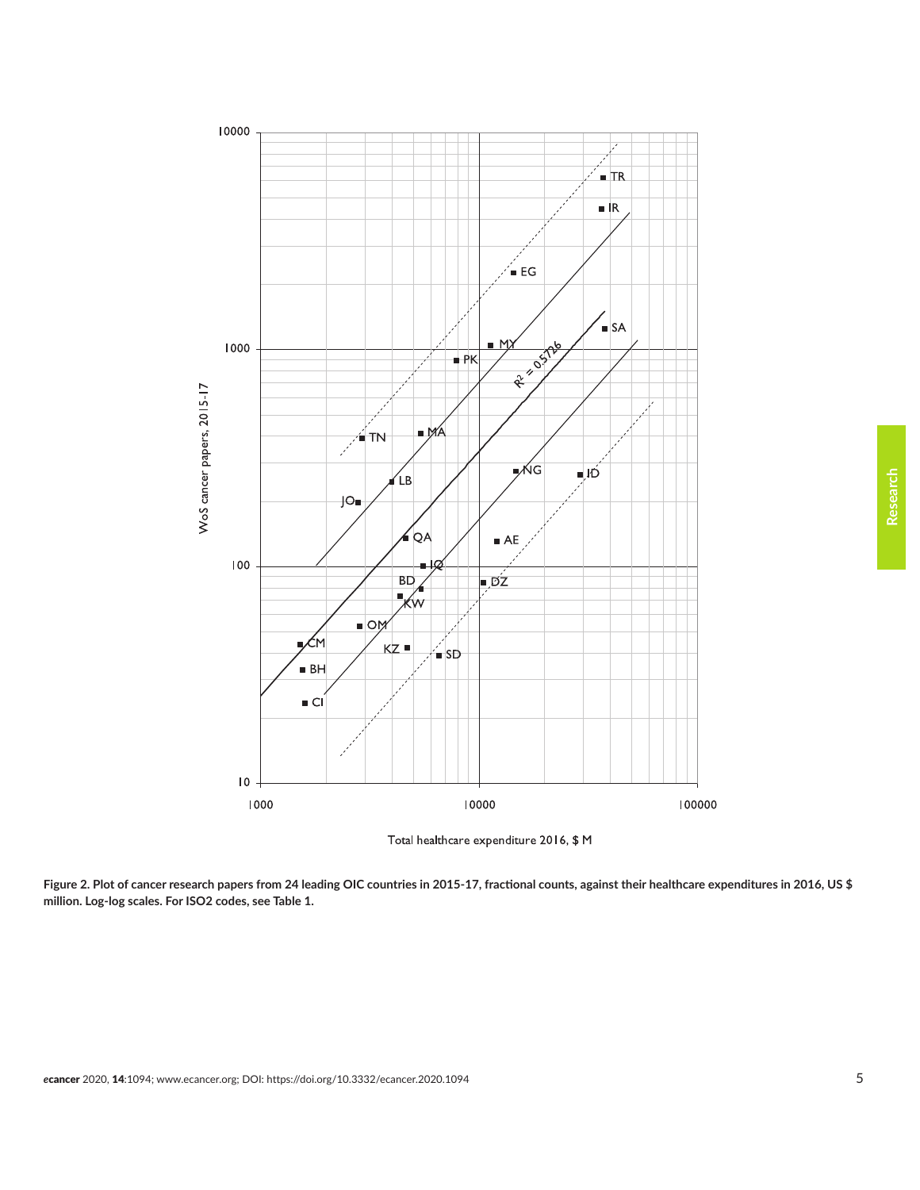<span id="page-4-0"></span>



**Figure 2. Plot of cancer research papers from 24 leading OIC countries in 2015-17, fractional counts, against their healthcare expenditures in 2016, US \$ million. Log-log scales. For ISO2 codes, see Table 1.**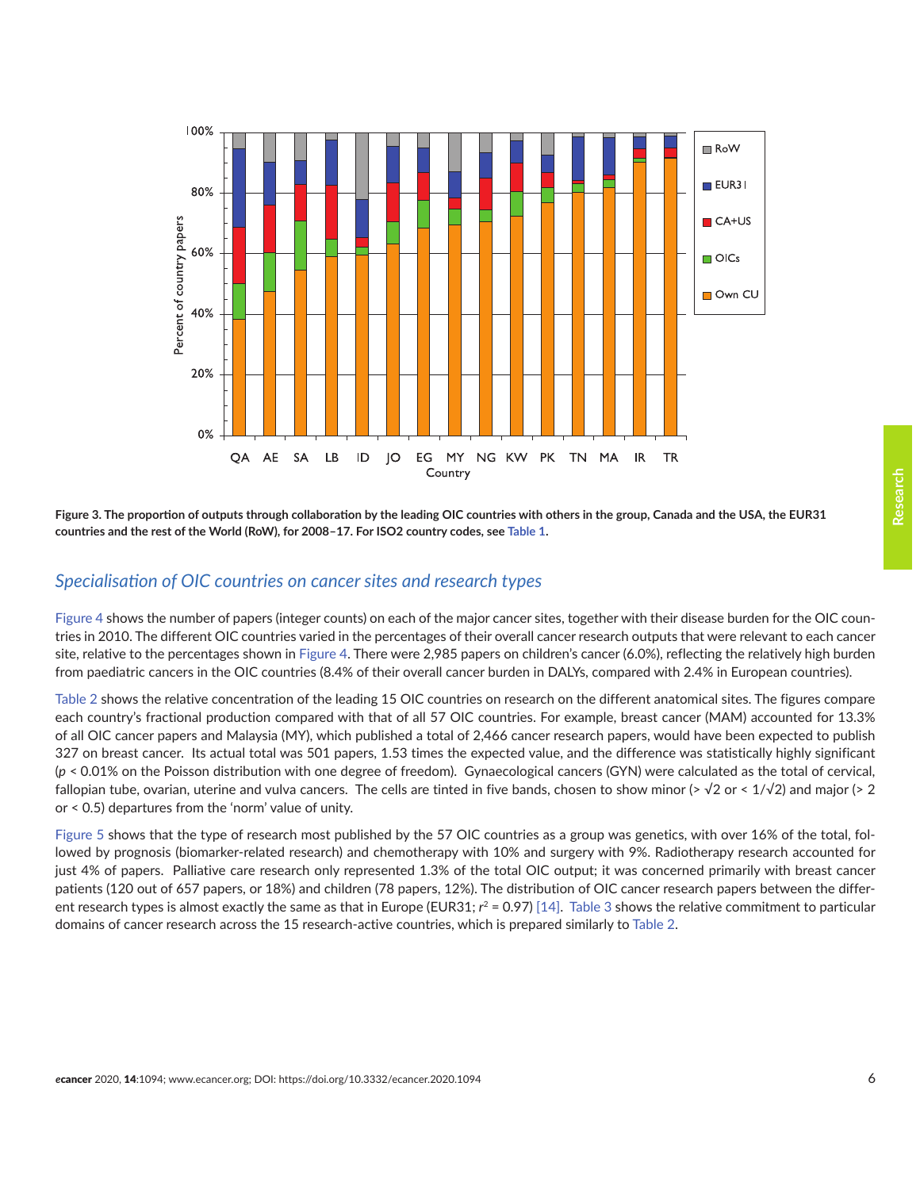<span id="page-5-0"></span>

**Figure 3. The proportion of outputs through collaboration by the leading OIC countries with others in the group, Canada and the USA, the EUR31 countries and the rest of the World (RoW), for 2008–17. For ISO2 country codes, see [Table 1](#page-6-0).**

#### *Specialisation of OIC countries on cancer sites and research types*

[Figure 4](#page-7-0) shows the number of papers (integer counts) on each of the major cancer sites, together with their disease burden for the OIC countries in 2010. The different OIC countries varied in the percentages of their overall cancer research outputs that were relevant to each cancer site, relative to the percentages shown in [Figure 4](#page-7-0). There were 2,985 papers on children's cancer (6.0%), reflecting the relatively high burden from paediatric cancers in the OIC countries (8.4% of their overall cancer burden in DALYs, compared with 2.4% in European countries).

[Table 2](#page-8-0) shows the relative concentration of the leading 15 OIC countries on research on the different anatomical sites. The figures compare each country's fractional production compared with that of all 57 OIC countries. For example, breast cancer (MAM) accounted for 13.3% of all OIC cancer papers and Malaysia (MY), which published a total of 2,466 cancer research papers, would have been expected to publish 327 on breast cancer. Its actual total was 501 papers, 1.53 times the expected value, and the difference was statistically highly significant (*p* < 0.01% on the Poisson distribution with one degree of freedom). Gynaecological cancers (GYN) were calculated as the total of cervical, fallopian tube, ovarian, uterine and vulva cancers. The cells are tinted in five bands, chosen to show minor (>  $\sqrt{2}$  or <  $1/\sqrt{2}$ ) and major (> 2 or < 0.5) departures from the 'norm' value of unity.

[Figure 5](#page-9-0) shows that the type of research most published by the 57 OIC countries as a group was genetics, with over 16% of the total, followed by prognosis (biomarker-related research) and chemotherapy with 10% and surgery with 9%. Radiotherapy research accounted for just 4% of papers. Palliative care research only represented 1.3% of the total OIC output; it was concerned primarily with breast cancer patients (120 out of 657 papers, or 18%) and children (78 papers, 12%). The distribution of OIC cancer research papers between the different research types is almost exactly the same as that in Europe (EUR31;  $r^2 = 0.97$ ) [\[14\].](#page-14-0) [Table 3](#page-9-0) shows the relative commitment to particular domains of cancer research across the 15 research-active countries, which is prepared similarly to [Table 2](#page-8-0).

**Research**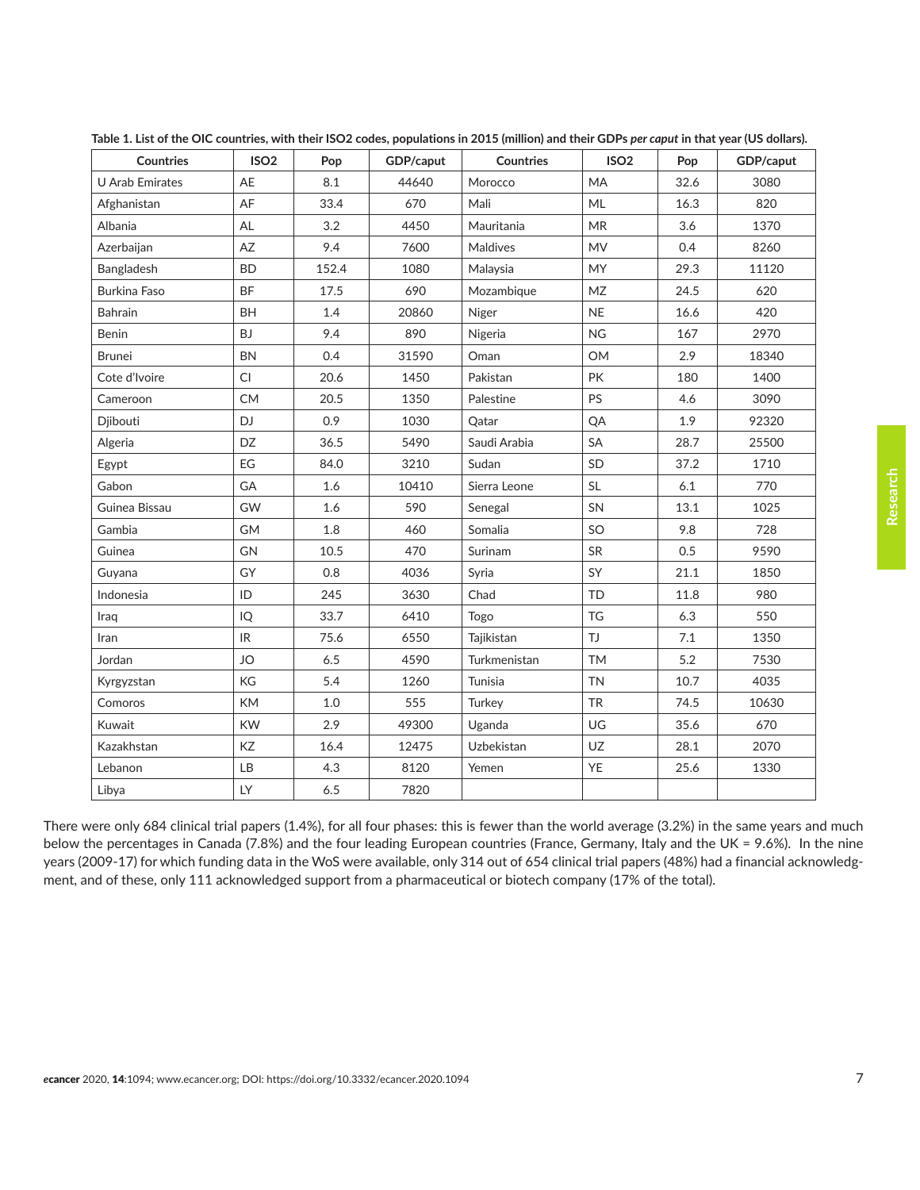| <b>Countries</b>       | ISO <sub>2</sub> | Pop   | GDP/caput | <b>Countries</b> | ISO <sub>2</sub> | Pop  | GDP/caput |  |
|------------------------|------------------|-------|-----------|------------------|------------------|------|-----------|--|
| <b>U</b> Arab Emirates | AE               | 8.1   | 44640     | Morocco          | <b>MA</b>        | 32.6 | 3080      |  |
| Afghanistan            | AF               | 33.4  | 670       | Mali             | ML               | 16.3 | 820       |  |
| Albania                | <b>AL</b>        | 3.2   | 4450      | Mauritania       | <b>MR</b>        | 3.6  | 1370      |  |
| Azerbaijan             | AZ               | 9.4   | 7600      | Maldives         | <b>MV</b>        | 0.4  | 8260      |  |
| Bangladesh             | <b>BD</b>        | 152.4 | 1080      | Malaysia         | <b>MY</b>        | 29.3 | 11120     |  |
| <b>Burkina Faso</b>    | <b>BF</b>        | 17.5  | 690       | Mozambique       | <b>MZ</b>        | 24.5 | 620       |  |
| Bahrain                | BH               | 1.4   | 20860     | Niger            | <b>NE</b>        | 16.6 | 420       |  |
| Benin                  | <b>BJ</b>        | 9.4   | 890       | Nigeria          | <b>NG</b>        | 167  | 2970      |  |
| <b>Brunei</b>          | <b>BN</b>        | 0.4   | 31590     | Oman             | <b>OM</b>        | 2.9  | 18340     |  |
| Cote d'Ivoire          | CI               | 20.6  | 1450      | Pakistan         | <b>PK</b>        | 180  | 1400      |  |
| Cameroon               | <b>CM</b>        | 20.5  | 1350      | Palestine        | <b>PS</b>        | 4.6  | 3090      |  |
| Djibouti               | DJ.              | 0.9   | 1030      | Qatar            | QA               | 1.9  | 92320     |  |
| Algeria                | DZ               | 36.5  | 5490      | Saudi Arabia     | SA               | 28.7 | 25500     |  |
| Egypt                  | EG               | 84.0  | 3210      | Sudan            | <b>SD</b>        | 37.2 | 1710      |  |
| Gabon                  | GA               | 1.6   | 10410     | Sierra Leone     | <b>SL</b>        | 6.1  | 770       |  |
| Guinea Bissau          | GW               | 1.6   | 590       | Senegal          | SN               | 13.1 | 1025      |  |
| Gambia                 | <b>GM</b>        | 1.8   | 460       | Somalia          | SO               | 9.8  | 728       |  |
| Guinea                 | GN               | 10.5  | 470       | Surinam          | SR               | 0.5  | 9590      |  |
| Guyana                 | GY               | 0.8   | 4036      | Syria            | SY               | 21.1 | 1850      |  |
| Indonesia              | ID               | 245   | 3630      | Chad             | TD               | 11.8 | 980       |  |
| Iraq                   | IQ               | 33.7  | 6410      | Togo             | <b>TG</b>        | 6.3  | 550       |  |
| Iran                   | IR               | 75.6  | 6550      | Tajikistan       | TJ               | 7.1  | 1350      |  |
| Jordan                 | <b>JO</b>        | 6.5   | 4590      | Turkmenistan     | <b>TM</b>        | 5.2  | 7530      |  |
| Kyrgyzstan             | KG               | 5.4   | 1260      | Tunisia          | <b>TN</b>        | 10.7 | 4035      |  |
| Comoros                | <b>KM</b>        | 1.0   | 555       | Turkey           | <b>TR</b>        | 74.5 | 10630     |  |
| Kuwait                 | <b>KW</b>        | 2.9   | 49300     | Uganda           | UG               | 35.6 | 670       |  |
| Kazakhstan             | KZ               | 16.4  | 12475     | Uzbekistan       | UZ               | 28.1 | 2070      |  |
| Lebanon                | <b>LB</b>        | 4.3   | 8120      | Yemen            | YE               | 25.6 | 1330      |  |
| Libya                  | LY               | 6.5   | 7820      |                  |                  |      |           |  |

<span id="page-6-0"></span>Table 1. List of the OIC countries, with their ISO2 codes, populations in 2015 (million) and their GDPs *per caput* in that year (US dollars).

There were only 684 clinical trial papers (1.4%), for all four phases: this is fewer than the world average (3.2%) in the same years and much below the percentages in Canada (7.8%) and the four leading European countries (France, Germany, Italy and the UK = 9.6%). In the nine years (2009-17) for which funding data in the WoS were available, only 314 out of 654 clinical trial papers (48%) had a financial acknowledgment, and of these, only 111 acknowledged support from a pharmaceutical or biotech company (17% of the total).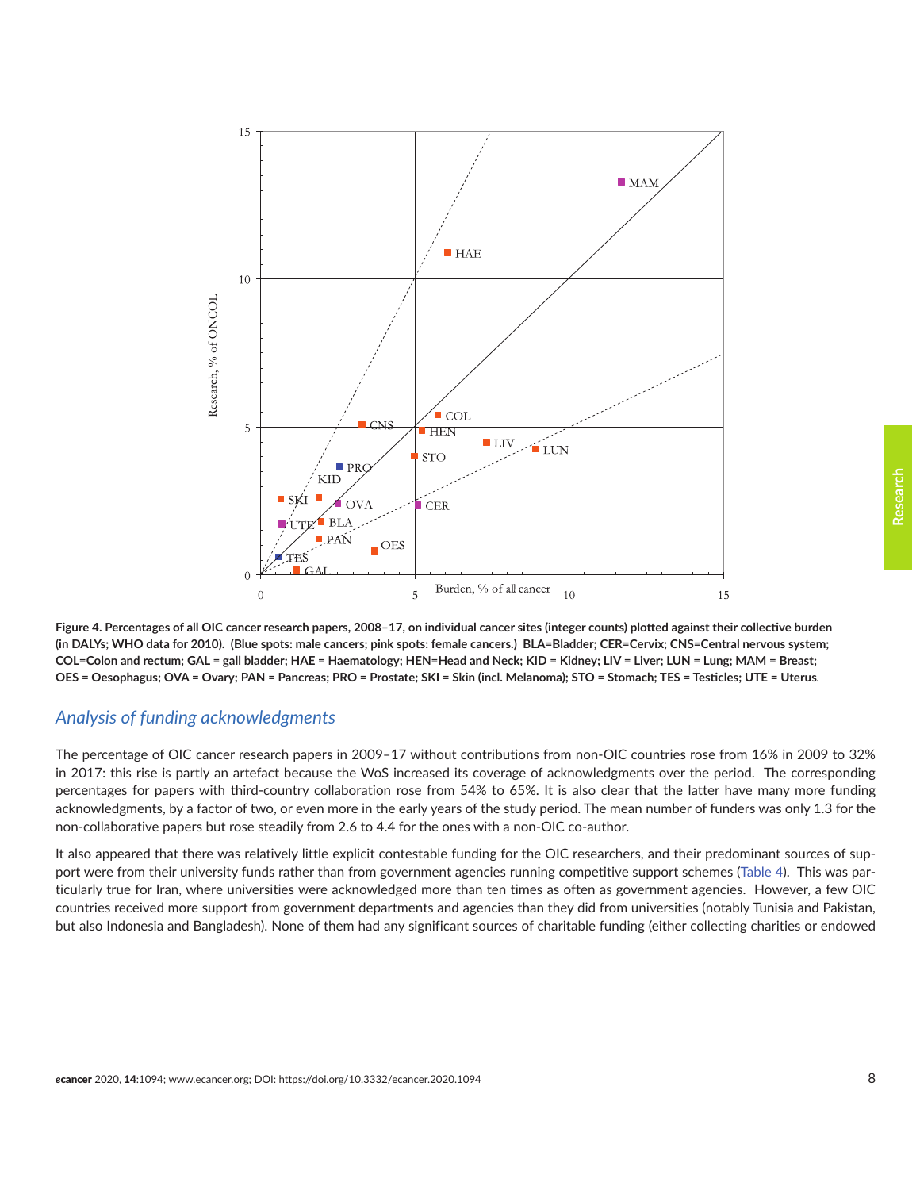<span id="page-7-0"></span>

**Figure 4. Percentages of all OIC cancer research papers, 2008–17, on individual cancer sites (integer counts) plotted against their collective burden (in DALYs; WHO data for 2010). (Blue spots: male cancers; pink spots: female cancers.) BLA=Bladder; CER=Cervix; CNS=Central nervous system; COL=Colon and rectum; GAL = gall bladder; HAE = Haematology; HEN=Head and Neck; KID = Kidney; LIV = Liver; LUN = Lung; MAM = Breast; OES = Oesophagus; OVA = Ovary; PAN = Pancreas; PRO = Prostate; SKI = Skin (incl. Melanoma); STO = Stomach; TES = Testicles; UTE = Uterus***.*

#### *Analysis of funding acknowledgments*

The percentage of OIC cancer research papers in 2009–17 without contributions from non-OIC countries rose from 16% in 2009 to 32% in 2017: this rise is partly an artefact because the WoS increased its coverage of acknowledgments over the period. The corresponding percentages for papers with third-country collaboration rose from 54% to 65%. It is also clear that the latter have many more funding acknowledgments, by a factor of two, or even more in the early years of the study period. The mean number of funders was only 1.3 for the non-collaborative papers but rose steadily from 2.6 to 4.4 for the ones with a non-OIC co-author.

It also appeared that there was relatively little explicit contestable funding for the OIC researchers, and their predominant sources of support were from their university funds rather than from government agencies running competitive support schemes ([Table 4](#page-10-0)). This was particularly true for Iran, where universities were acknowledged more than ten times as often as government agencies. However, a few OIC countries received more support from government departments and agencies than they did from universities (notably Tunisia and Pakistan, but also Indonesia and Bangladesh). None of them had any significant sources of charitable funding (either collecting charities or endowed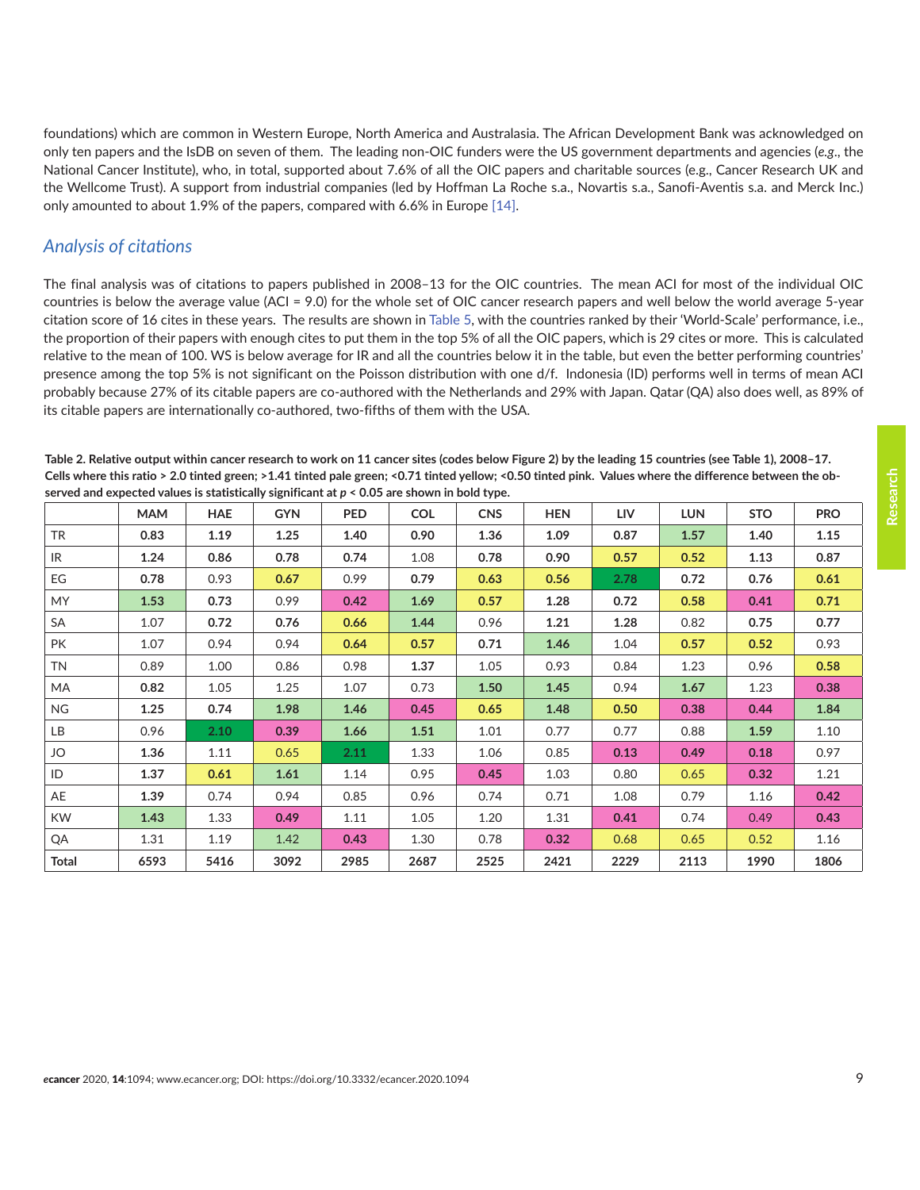<span id="page-8-0"></span>foundations) which are common in Western Europe, North America and Australasia. The African Development Bank was acknowledged on only ten papers and the IsDB on seven of them. The leading non-OIC funders were the US government departments and agencies (*e.g*., the National Cancer Institute), who, in total, supported about 7.6% of all the OIC papers and charitable sources (e.g., Cancer Research UK and the Wellcome Trust). A support from industrial companies (led by Hoffman La Roche s.a., Novartis s.a., Sanofi-Aventis s.a. and Merck Inc.) only amounted to about 1.9% of the papers, compared with 6.6% in Europe [\[14\]](#page-14-0).

# *Analysis of citations*

The final analysis was of citations to papers published in 2008–13 for the OIC countries. The mean ACI for most of the individual OIC countries is below the average value (ACI = 9.0) for the whole set of OIC cancer research papers and well below the world average 5-year citation score of 16 cites in these years. The results are shown in [Table 5,](#page-10-0) with the countries ranked by their 'World-Scale' performance, i.e., the proportion of their papers with enough cites to put them in the top 5% of all the OIC papers, which is 29 cites or more. This is calculated relative to the mean of 100. WS is below average for IR and all the countries below it in the table, but even the better performing countries' presence among the top 5% is not significant on the Poisson distribution with one d/f. Indonesia (ID) performs well in terms of mean ACI probably because 27% of its citable papers are co-authored with the Netherlands and 29% with Japan. Qatar (QA) also does well, as 89% of its citable papers are internationally co-authored, two-fifths of them with the USA.

**Table 2. Relative output within cancer research to work on 11 cancer sites (codes below Figure 2) by the leading 15 countries (see Table 1), 2008–17. Cells where this ratio > 2.0 tinted green; >1.41 tinted pale green; <0.71 tinted yellow; <0.50 tinted pink. Values where the difference between the observed and expected values is statistically significant at** *p* **< 0.05 are shown in bold type.**

|           | <b>MAM</b> | <b>HAE</b> | <b>GYN</b> | <b>PED</b> | <b>COL</b> | <b>CNS</b> | <b>HEN</b> | <b>LIV</b> | <b>LUN</b> | <b>STO</b> | <b>PRO</b> |
|-----------|------------|------------|------------|------------|------------|------------|------------|------------|------------|------------|------------|
| <b>TR</b> | 0.83       | 1.19       | 1.25       | 1.40       | 0.90       | 1.36       | 1.09       | 0.87       | 1.57       | 1.40       | 1.15       |
| IR        | 1.24       | 0.86       | 0.78       | 0.74       | 1.08       | 0.78       | 0.90       | 0.57       | 0.52       | 1.13       | 0.87       |
| EG        | 0.78       | 0.93       | 0.67       | 0.99       | 0.79       | 0.63       | 0.56       | 2.78       | 0.72       | 0.76       | 0.61       |
| <b>MY</b> | 1.53       | 0.73       | 0.99       | 0.42       | 1.69       | 0.57       | 1.28       | 0.72       | 0.58       | 0.41       | 0.71       |
| SA        | 1.07       | 0.72       | 0.76       | 0.66       | 1.44       | 0.96       | 1.21       | 1.28       | 0.82       | 0.75       | 0.77       |
| <b>PK</b> | 1.07       | 0.94       | 0.94       | 0.64       | 0.57       | 0.71       | 1.46       | 1.04       | 0.57       | 0.52       | 0.93       |
| <b>TN</b> | 0.89       | 1.00       | 0.86       | 0.98       | 1.37       | 1.05       | 0.93       | 0.84       | 1.23       | 0.96       | 0.58       |
| MA        | 0.82       | 1.05       | 1.25       | 1.07       | 0.73       | 1.50       | 1.45       | 0.94       | 1.67       | 1.23       | 0.38       |
| <b>NG</b> | 1.25       | 0.74       | 1.98       | 1.46       | 0.45       | 0.65       | 1.48       | 0.50       | 0.38       | 0.44       | 1.84       |
| LB        | 0.96       | 2.10       | 0.39       | 1.66       | 1.51       | 1.01       | 0.77       | 0.77       | 0.88       | 1.59       | 1.10       |
| JO        | 1.36       | 1.11       | 0.65       | 2.11       | 1.33       | 1.06       | 0.85       | 0.13       | 0.49       | 0.18       | 0.97       |
| ID        | 1.37       | 0.61       | 1.61       | 1.14       | 0.95       | 0.45       | 1.03       | 0.80       | 0.65       | 0.32       | 1.21       |
| AE        | 1.39       | 0.74       | 0.94       | 0.85       | 0.96       | 0.74       | 0.71       | 1.08       | 0.79       | 1.16       | 0.42       |
| <b>KW</b> | 1.43       | 1.33       | 0.49       | 1.11       | 1.05       | 1.20       | 1.31       | 0.41       | 0.74       | 0.49       | 0.43       |
| QA        | 1.31       | 1.19       | 1.42       | 0.43       | 1.30       | 0.78       | 0.32       | 0.68       | 0.65       | 0.52       | 1.16       |
| Total     | 6593       | 5416       | 3092       | 2985       | 2687       | 2525       | 2421       | 2229       | 2113       | 1990       | 1806       |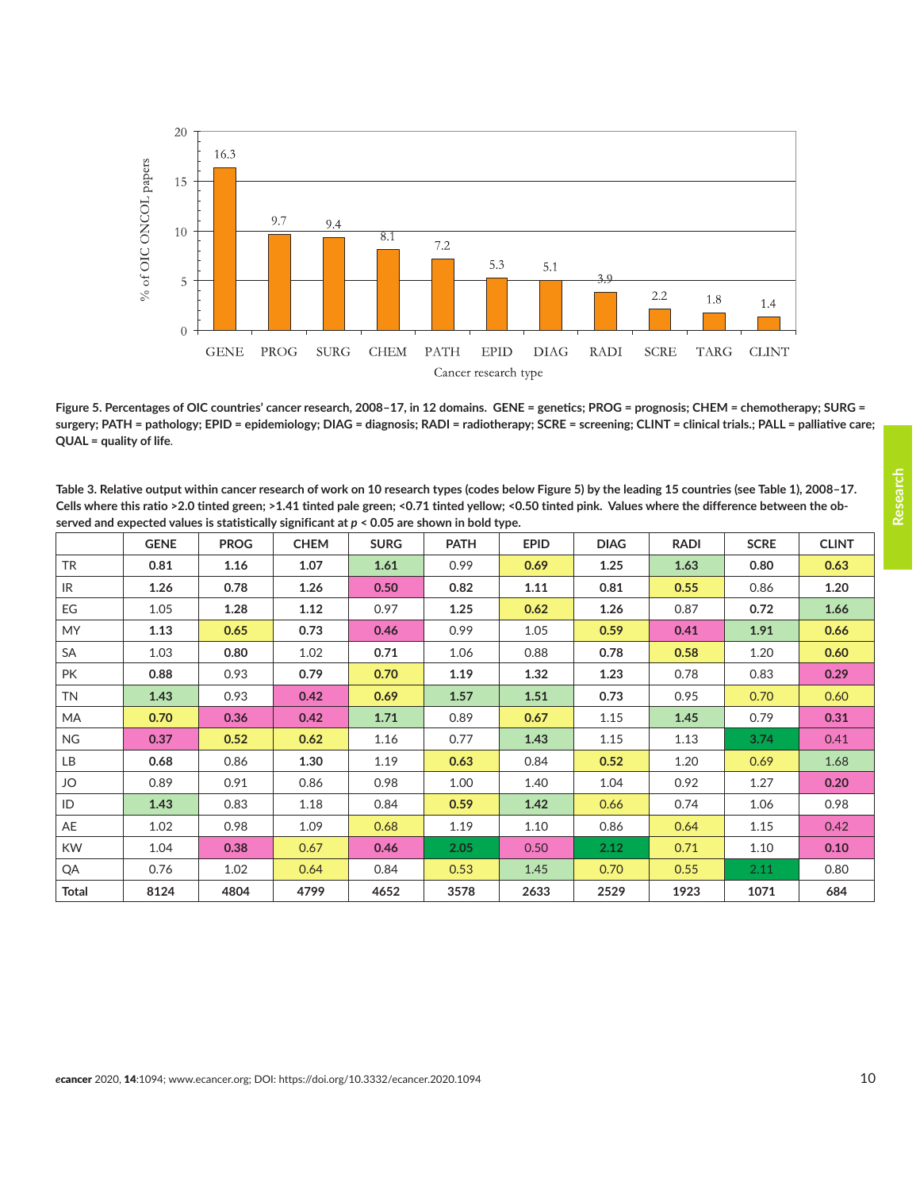<span id="page-9-0"></span>

**Figure 5. Percentages of OIC countries' cancer research, 2008–17, in 12 domains. GENE = genetics; PROG = prognosis; CHEM = chemotherapy; SURG = surgery; PATH = pathology; EPID = epidemiology; DIAG = diagnosis; RADI = radiotherapy; SCRE = screening; CLINT = clinical trials.; PALL = palliative care; QUAL = quality of life***.*

| Table 3. Relative output within cancer research of work on 10 research types (codes below Figure 5) by the leading 15 countries (see Table 1), 2008-17. |
|---------------------------------------------------------------------------------------------------------------------------------------------------------|
| Cells where this ratio >2.0 tinted green; >1.41 tinted pale green; <0.71 tinted yellow; <0.50 tinted pink. Values where the difference between the ob-  |
| served and expected values is statistically significant at $p < 0.05$ are shown in bold type.                                                           |

|              | <b>GENE</b> | <b>PROG</b> | <b>CHEM</b> | <b>SURG</b> | <b>PATH</b> | <b>EPID</b> | <b>DIAG</b> | <b>RADI</b> | <b>SCRE</b> | <b>CLINT</b> |
|--------------|-------------|-------------|-------------|-------------|-------------|-------------|-------------|-------------|-------------|--------------|
| <b>TR</b>    | 0.81        | 1.16        | 1.07        | 1.61        | 0.99        | 0.69        | 1.25        | 1.63        | 0.80        | 0.63         |
| IR.          | 1.26        | 0.78        | 1.26        | 0.50        | 0.82        | 1.11        | 0.81        | 0.55        | 0.86        | 1.20         |
| EG           | 1.05        | 1.28        | 1.12        | 0.97        | 1.25        | 0.62        | 1.26        | 0.87        | 0.72        | 1.66         |
| <b>MY</b>    | 1.13        | 0.65        | 0.73        | 0.46        | 0.99        | 1.05        | 0.59        | 0.41        | 1.91        | 0.66         |
| <b>SA</b>    | 1.03        | 0.80        | 1.02        | 0.71        | 1.06        | 0.88        | 0.78        | 0.58        | 1.20        | 0.60         |
| PK           | 0.88        | 0.93        | 0.79        | 0.70        | 1.19        | 1.32        | 1.23        | 0.78        | 0.83        | 0.29         |
| <b>TN</b>    | 1.43        | 0.93        | 0.42        | 0.69        | 1.57        | 1.51        | 0.73        | 0.95        | 0.70        | 0.60         |
| MA           | 0.70        | 0.36        | 0.42        | 1.71        | 0.89        | 0.67        | 1.15        | 1.45        | 0.79        | 0.31         |
| <b>NG</b>    | 0.37        | 0.52        | 0.62        | 1.16        | 0.77        | 1.43        | 1.15        | 1.13        | 3.74        | 0.41         |
| LB           | 0.68        | 0.86        | 1.30        | 1.19        | 0.63        | 0.84        | 0.52        | 1.20        | 0.69        | 1.68         |
| JO           | 0.89        | 0.91        | 0.86        | 0.98        | 1.00        | 1.40        | 1.04        | 0.92        | 1.27        | 0.20         |
| ID           | 1.43        | 0.83        | 1.18        | 0.84        | 0.59        | 1.42        | 0.66        | 0.74        | 1.06        | 0.98         |
| AE           | 1.02        | 0.98        | 1.09        | 0.68        | 1.19        | 1.10        | 0.86        | 0.64        | 1.15        | 0.42         |
| <b>KW</b>    | 1.04        | 0.38        | 0.67        | 0.46        | 2.05        | 0.50        | 2.12        | 0.71        | 1.10        | 0.10         |
| QA           | 0.76        | 1.02        | 0.64        | 0.84        | 0.53        | 1.45        | 0.70        | 0.55        | 2.11        | 0.80         |
| <b>Total</b> | 8124        | 4804        | 4799        | 4652        | 3578        | 2633        | 2529        | 1923        | 1071        | 684          |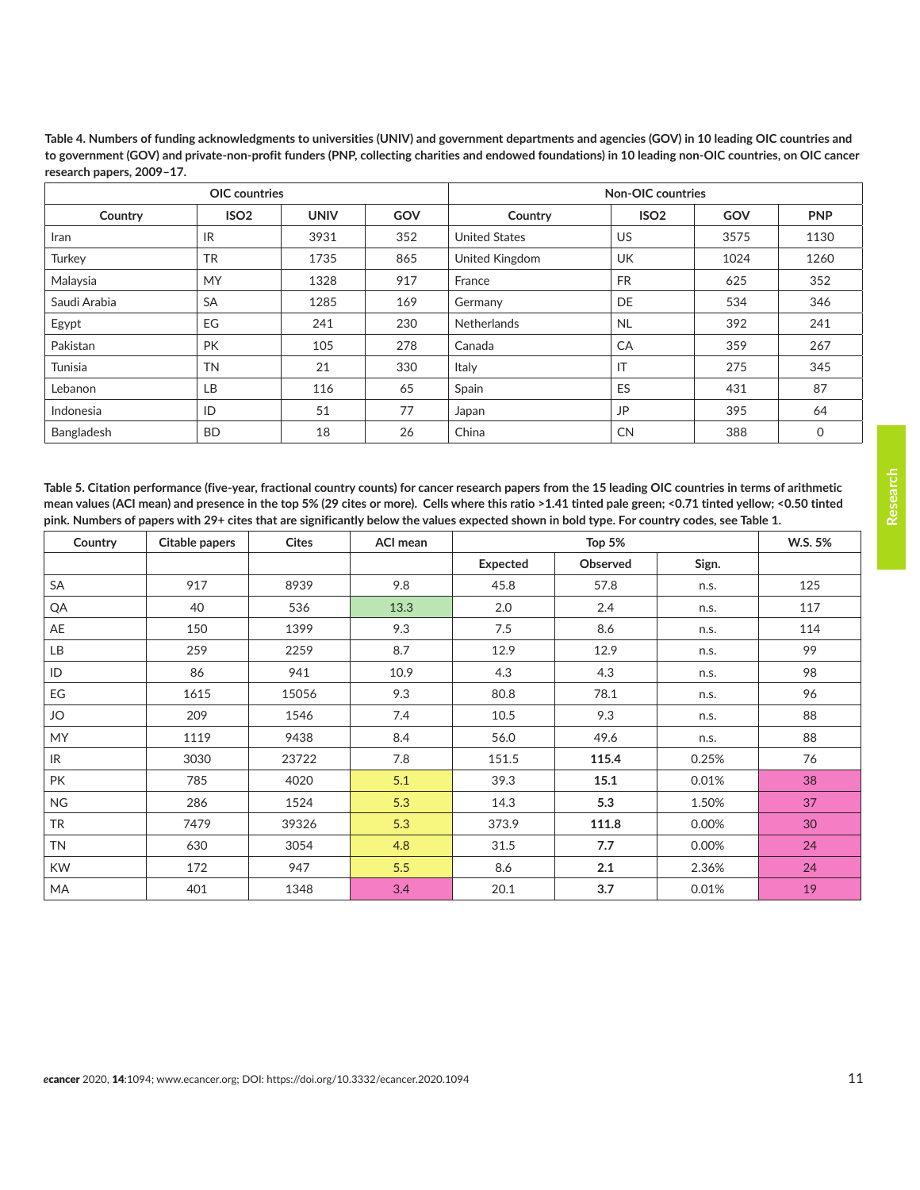|              | <b>OIC</b> countries |             |     | Non-OIC countries    |                  |      |            |  |  |
|--------------|----------------------|-------------|-----|----------------------|------------------|------|------------|--|--|
| Country      | ISO <sub>2</sub>     | <b>UNIV</b> | GOV | Country              | ISO <sub>2</sub> | GOV  | <b>PNP</b> |  |  |
| Iran         | IR                   | 3931        | 352 | <b>United States</b> | <b>US</b>        | 3575 | 1130       |  |  |
| Turkey       | <b>TR</b>            | 1735        | 865 | United Kingdom       | <b>UK</b>        | 1024 | 1260       |  |  |
| Malaysia     | <b>MY</b>            | 1328        | 917 | France               | <b>FR</b>        | 625  | 352        |  |  |
| Saudi Arabia | <b>SA</b>            | 1285        | 169 | Germany              | DE               | 534  | 346        |  |  |
| Egypt        | EG                   | 241         | 230 | Netherlands          | <b>NL</b>        | 392  | 241        |  |  |
| Pakistan     | <b>PK</b>            | 105         | 278 | Canada               | CA               | 359  | 267        |  |  |
| Tunisia      | <b>TN</b>            | 21          | 330 | Italy                | IT               | 275  | 345        |  |  |
| Lebanon      | LB                   | 116         | 65  | Spain                | ES               | 431  | 87         |  |  |
| Indonesia    | ID                   | 51          | 77  | Japan                | <b>JP</b>        | 395  | 64         |  |  |
| Bangladesh   | <b>BD</b>            | 18          | 26  | China                | <b>CN</b>        | 388  | 0          |  |  |

<span id="page-10-0"></span>**Table 4. Numbers of funding acknowledgments to universities (UNIV) and government departments and agencies (GOV) in 10 leading OIC countries and to government (GOV) and private-non-profit funders (PNP, collecting charities and endowed foundations) in 10 leading non-OIC countries, on OIC cancer research papers, 2009–17.**

**Table 5. Citation performance (five-year, fractional country counts) for cancer research papers from the 15 leading OIC countries in terms of arithmetic mean values (ACI mean) and presence in the top 5% (29 cites or more). Cells where this ratio >1.41 tinted pale green; <0.71 tinted yellow; <0.50 tinted pink. Numbers of papers with 29+ cites that are significantly below the values expected shown in bold type. For country codes, see Table 1.**

| Country   | <b>Citable papers</b> | <b>Cites</b> | <b>ACI mean</b> |                 |          | W.S. 5% |     |
|-----------|-----------------------|--------------|-----------------|-----------------|----------|---------|-----|
|           |                       |              |                 | <b>Expected</b> | Observed | Sign.   |     |
| SA        | 917                   | 8939         | 9.8             | 45.8            | 57.8     | n.s.    | 125 |
| QA        | 40                    | 536          | 13.3            | 2.0             | 2.4      | n.s.    | 117 |
| AE        | 150                   | 1399         | 9.3             | 7.5             | 8.6      | n.s.    | 114 |
| LB        | 259                   | 2259         | 8.7             | 12.9            | 12.9     | n.s.    | 99  |
| ID        | 86                    | 941          | 10.9            | 4.3             | 4.3      | n.s.    | 98  |
| EG        | 1615                  | 15056        | 9.3             | 80.8            | 78.1     | n.s.    | 96  |
| JO        | 209                   | 1546         | 7.4             | 10.5            | 9.3      | n.s.    | 88  |
| <b>MY</b> | 1119                  | 9438         | 8.4             | 56.0            | 49.6     | n.s.    | 88  |
| IR.       | 3030                  | 23722        | 7.8             | 151.5           | 115.4    | 0.25%   | 76  |
| <b>PK</b> | 785                   | 4020         | 5.1             | 39.3            | 15.1     | 0.01%   | 38  |
| <b>NG</b> | 286                   | 1524         | 5.3             | 14.3            | 5.3      | 1.50%   | 37  |
| <b>TR</b> | 7479                  | 39326        | 5.3             | 373.9           | 111.8    | 0.00%   | 30  |
| <b>TN</b> | 630                   | 3054         | 4.8             | 31.5            | 7.7      | 0.00%   | 24  |
| <b>KW</b> | 172                   | 947          | 5.5             | 8.6             | 2.1      | 2.36%   | 24  |
| MA        | 401                   | 1348         | 3.4             | 20.1            | 3.7      | 0.01%   | 19  |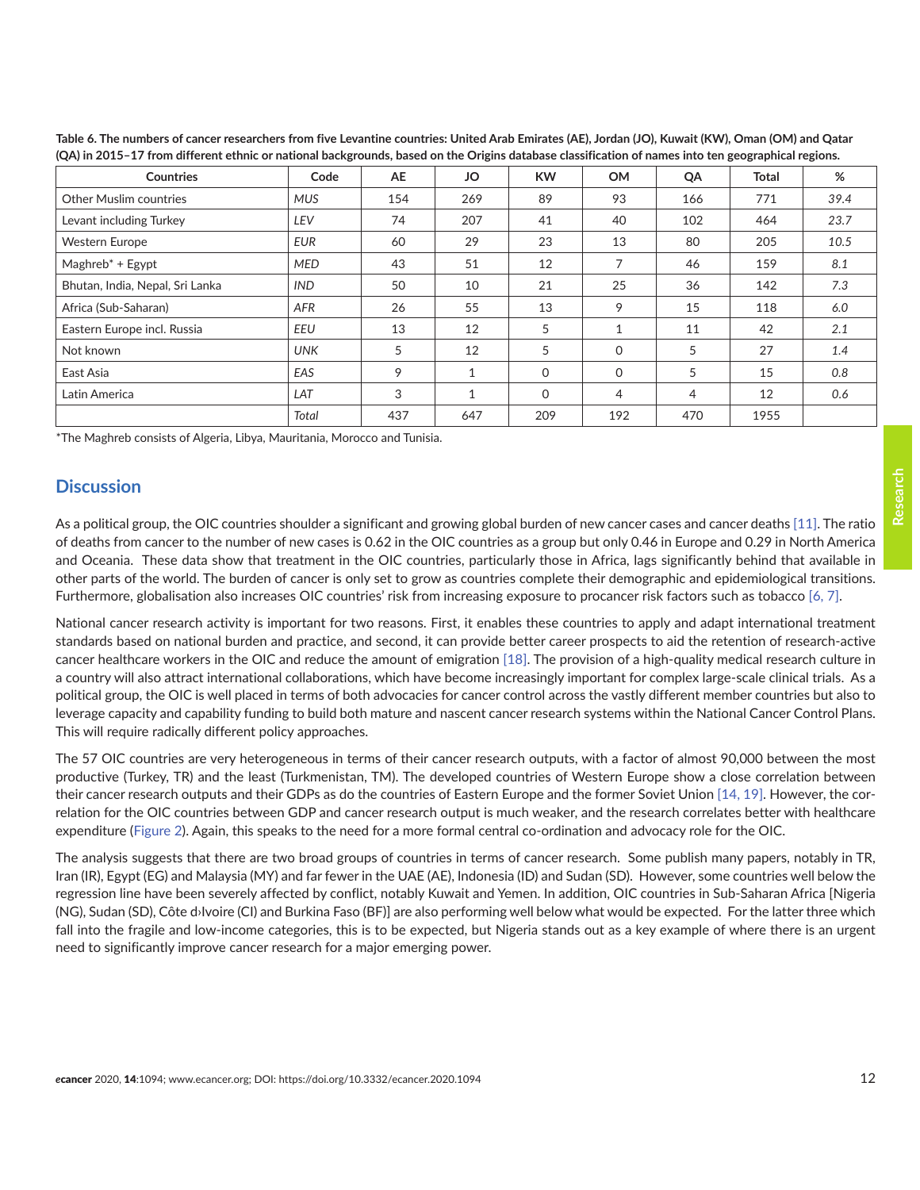| <b>Countries</b>                | Code       | <b>AE</b> | JO           | <b>KW</b> | <b>OM</b>      | QA             | Total | %    |
|---------------------------------|------------|-----------|--------------|-----------|----------------|----------------|-------|------|
| <b>Other Muslim countries</b>   | <b>MUS</b> | 154       | 269          | 89        | 93             | 166            | 771   | 39.4 |
| Levant including Turkey         | LEV        | 74        | 207          | 41        | 40             | 102            | 464   | 23.7 |
| <b>Western Europe</b>           | <b>EUR</b> | 60        | 29           | 23        | 13             | 80             | 205   | 10.5 |
| $Maghreb^* + Egypt$             | <b>MED</b> | 43        | 51           | 12        | $\overline{ }$ | 46             | 159   | 8.1  |
| Bhutan, India, Nepal, Sri Lanka | <b>IND</b> | 50        | 10           | 21        | 25             | 36             | 142   | 7.3  |
| Africa (Sub-Saharan)            | AFR        | 26        | 55           | 13        | 9              | 15             | 118   | 6.0  |
| Eastern Europe incl. Russia     | EEU        | 13        | 12           | 5         | 1              | 11             | 42    | 2.1  |
| Not known                       | <b>UNK</b> | 5         | 12           | 5         | 0              | 5              | 27    | 1.4  |
| East Asia                       | EAS        | 9         | $\mathbf{1}$ | $\Omega$  | 0              | 5              | 15    | 0.8  |
| Latin America                   | LAT        | 3         | $\mathbf{1}$ | $\Omega$  | 4              | $\overline{4}$ | 12    | 0.6  |
|                                 | Total      | 437       | 647          | 209       | 192            | 470            | 1955  |      |

<span id="page-11-0"></span>**Table 6. The numbers of cancer researchers from five Levantine countries: United Arab Emirates (AE), Jordan (JO), Kuwait (KW), Oman (OM) and Qatar (QA) in 2015–17 from different ethnic or national backgrounds, based on the Origins database classification of names into ten geographical regions.**

\*The Maghreb consists of Algeria, Libya, Mauritania, Morocco and Tunisia.

#### **Discussion**

As a political group, the OIC countries shoulder a significant and growing global burden of new cancer cases and cancer deaths [\[11\]](#page-14-0). The ratio of deaths from cancer to the number of new cases is 0.62 in the OIC countries as a group but only 0.46 in Europe and 0.29 in North America and Oceania. These data show that treatment in the OIC countries, particularly those in Africa, lags significantly behind that available in other parts of the world. The burden of cancer is only set to grow as countries complete their demographic and epidemiological transitions. Furthermore, globalisation also increases OIC countries' risk from increasing exposure to procancer risk factors such as tobacco [\[6,](#page-13-0) [7\].](#page-13-0)

National cancer research activity is important for two reasons. First, it enables these countries to apply and adapt international treatment standards based on national burden and practice, and second, it can provide better career prospects to aid the retention of research-active cancer healthcare workers in the OIC and reduce the amount of emigration [\[18\].](#page-14-0) The provision of a high-quality medical research culture in a country will also attract international collaborations, which have become increasingly important for complex large-scale clinical trials. As a political group, the OIC is well placed in terms of both advocacies for cancer control across the vastly different member countries but also to leverage capacity and capability funding to build both mature and nascent cancer research systems within the National Cancer Control Plans. This will require radically different policy approaches.

The 57 OIC countries are very heterogeneous in terms of their cancer research outputs, with a factor of almost 90,000 between the most productive (Turkey, TR) and the least (Turkmenistan, TM). The developed countries of Western Europe show a close correlation between their cancer research outputs and their GDPs as do the countries of Eastern Europe and the former Soviet Union [\[14, 19\]](#page-14-0). However, the correlation for the OIC countries between GDP and cancer research output is much weaker, and the research correlates better with healthcare expenditure ([Figure 2](#page-4-0)). Again, this speaks to the need for a more formal central co-ordination and advocacy role for the OIC.

The analysis suggests that there are two broad groups of countries in terms of cancer research. Some publish many papers, notably in TR, Iran (IR), Egypt (EG) and Malaysia (MY) and far fewer in the UAE (AE), Indonesia (ID) and Sudan (SD). However, some countries well below the regression line have been severely affected by conflict, notably Kuwait and Yemen. In addition, OIC countries in Sub-Saharan Africa [Nigeria (NG), Sudan (SD), Côte d›Ivoire (CI) and Burkina Faso (BF)] are also performing well below what would be expected. For the latter three which fall into the fragile and low-income categories, this is to be expected, but Nigeria stands out as a key example of where there is an urgent need to significantly improve cancer research for a major emerging power.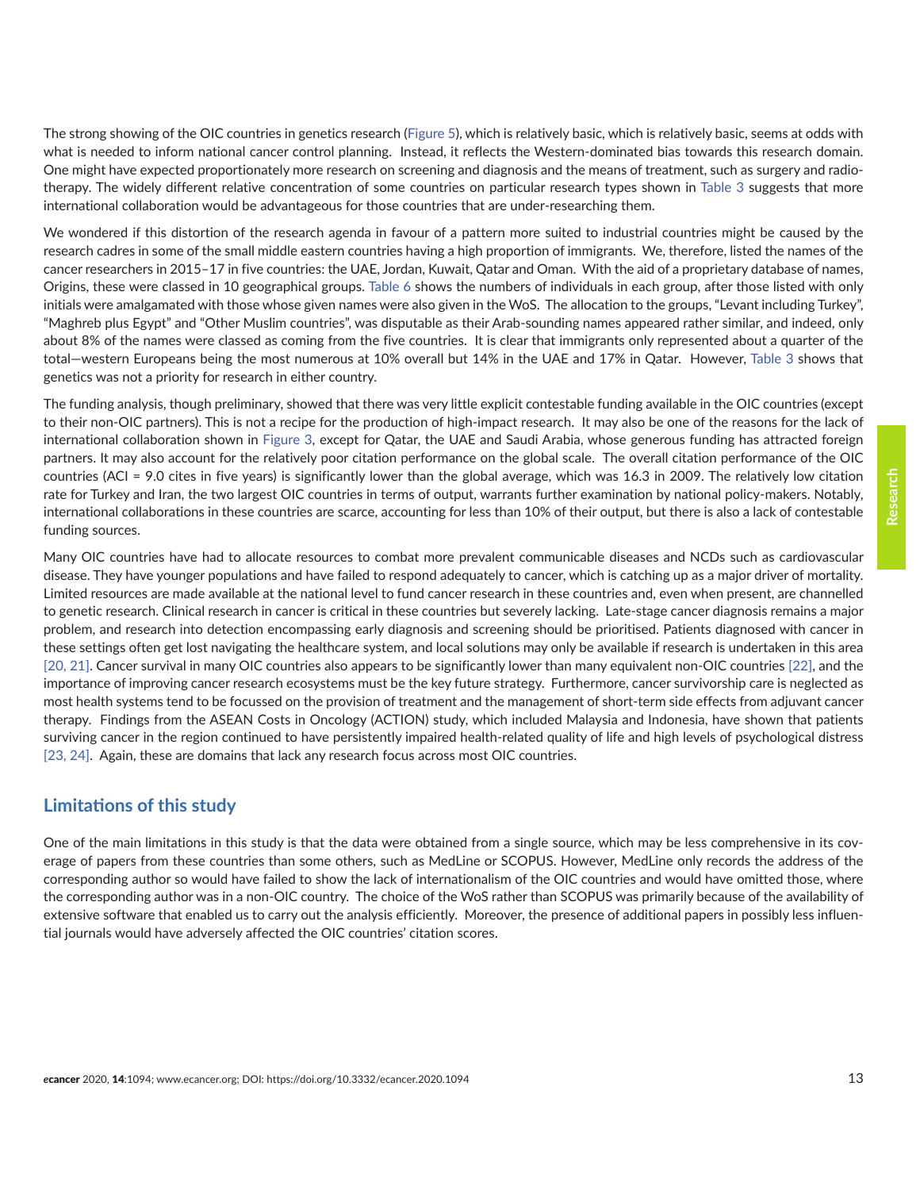**Research**

The strong showing of the OIC countries in genetics research [\(Figure 5](#page-9-0)), which is relatively basic, which is relatively basic, seems at odds with what is needed to inform national cancer control planning. Instead, it reflects the Western-dominated bias towards this research domain. One might have expected proportionately more research on screening and diagnosis and the means of treatment, such as surgery and radiotherapy. The widely different relative concentration of some countries on particular research types shown in [Table 3](#page-9-0) suggests that more international collaboration would be advantageous for those countries that are under-researching them.

We wondered if this distortion of the research agenda in favour of a pattern more suited to industrial countries might be caused by the research cadres in some of the small middle eastern countries having a high proportion of immigrants. We, therefore, listed the names of the cancer researchers in 2015–17 in five countries: the UAE, Jordan, Kuwait, Qatar and Oman. With the aid of a proprietary database of names, Origins, these were classed in 10 geographical groups. [Table 6](#page-11-0) shows the numbers of individuals in each group, after those listed with only initials were amalgamated with those whose given names were also given in the WoS. The allocation to the groups, "Levant including Turkey", "Maghreb plus Egypt" and "Other Muslim countries", was disputable as their Arab-sounding names appeared rather similar, and indeed, only about 8% of the names were classed as coming from the five countries. It is clear that immigrants only represented about a quarter of the total—western Europeans being the most numerous at 10% overall but 14% in the UAE and 17% in Qatar. However, [Table 3](#page-9-0) shows that genetics was not a priority for research in either country.

The funding analysis, though preliminary, showed that there was very little explicit contestable funding available in the OIC countries (except to their non-OIC partners). This is not a recipe for the production of high-impact research. It may also be one of the reasons for the lack of international collaboration shown in [Figure 3,](#page-5-0) except for Qatar, the UAE and Saudi Arabia, whose generous funding has attracted foreign partners. It may also account for the relatively poor citation performance on the global scale. The overall citation performance of the OIC countries (ACI = 9.0 cites in five years) is significantly lower than the global average, which was 16.3 in 2009. The relatively low citation rate for Turkey and Iran, the two largest OIC countries in terms of output, warrants further examination by national policy-makers. Notably, international collaborations in these countries are scarce, accounting for less than 10% of their output, but there is also a lack of contestable funding sources.

Many OIC countries have had to allocate resources to combat more prevalent communicable diseases and NCDs such as cardiovascular disease. They have younger populations and have failed to respond adequately to cancer, which is catching up as a major driver of mortality. Limited resources are made available at the national level to fund cancer research in these countries and, even when present, are channelled to genetic research. Clinical research in cancer is critical in these countries but severely lacking. Late-stage cancer diagnosis remains a major problem, and research into detection encompassing early diagnosis and screening should be prioritised. Patients diagnosed with cancer in these settings often get lost navigating the healthcare system, and local solutions may only be available if research is undertaken in this area [\[20, 21\].](#page-14-0) Cancer survival in many OIC countries also appears to be significantly lower than many equivalent non-OIC countries [\[22\],](#page-14-0) and the importance of improving cancer research ecosystems must be the key future strategy. Furthermore, cancer survivorship care is neglected as most health systems tend to be focussed on the provision of treatment and the management of short-term side effects from adjuvant cancer therapy. Findings from the ASEAN Costs in Oncology (ACTION) study, which included Malaysia and Indonesia, have shown that patients surviving cancer in the region continued to have persistently impaired health-related quality of life and high levels of psychological distress [\[23,](#page-14-0) [24\].](#page-14-0) Again, these are domains that lack any research focus across most OIC countries.

# **Limitations of this study**

One of the main limitations in this study is that the data were obtained from a single source, which may be less comprehensive in its coverage of papers from these countries than some others, such as MedLine or SCOPUS. However, MedLine only records the address of the corresponding author so would have failed to show the lack of internationalism of the OIC countries and would have omitted those, where the corresponding author was in a non-OIC country. The choice of the WoS rather than SCOPUS was primarily because of the availability of extensive software that enabled us to carry out the analysis efficiently. Moreover, the presence of additional papers in possibly less influential journals would have adversely affected the OIC countries' citation scores.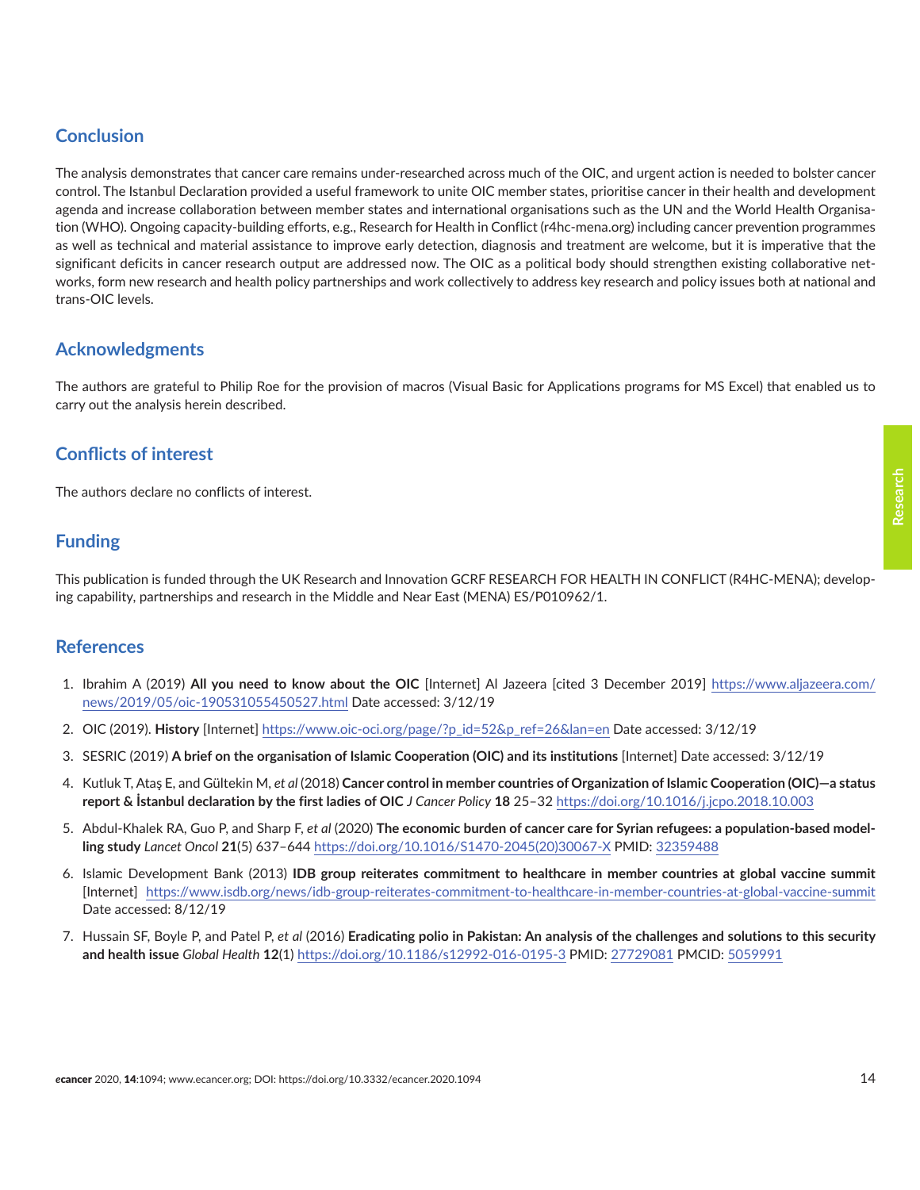# <span id="page-13-0"></span>**Conclusion**

The analysis demonstrates that cancer care remains under-researched across much of the OIC, and urgent action is needed to bolster cancer control. The Istanbul Declaration provided a useful framework to unite OIC member states, prioritise cancer in their health and development agenda and increase collaboration between member states and international organisations such as the UN and the World Health Organisation (WHO). Ongoing capacity-building efforts, e.g., Research for Health in Conflict (r4hc-mena.org) including cancer prevention programmes as well as technical and material assistance to improve early detection, diagnosis and treatment are welcome, but it is imperative that the significant deficits in cancer research output are addressed now. The OIC as a political body should strengthen existing collaborative networks, form new research and health policy partnerships and work collectively to address key research and policy issues both at national and trans-OIC levels.

# **Acknowledgments**

The authors are grateful to Philip Roe for the provision of macros (Visual Basic for Applications programs for MS Excel) that enabled us to carry out the analysis herein described.

# **Conflicts of interest**

The authors declare no conflicts of interest.

# **Funding**

This publication is funded through the UK Research and Innovation GCRF RESEARCH FOR HEALTH IN CONFLICT (R4HC-MENA); developing capability, partnerships and research in the Middle and Near East (MENA) ES/P010962/1.

#### **References**

- 1. Ibrahim A (2019) **All you need to know about the OIC** [Internet] Al Jazeera [cited 3 December 2019] [https://www.aljazeera.com/](https://www.aljazeera.com/news/2019/05/oic-190531055450527.html) [news/2019/05/oic-190531055450527.html](https://www.aljazeera.com/news/2019/05/oic-190531055450527.html) Date accessed: 3/12/19
- 2. OIC (2019). **History** [Internet] [https://www.oic-oci.org/page/?p\\_id=52&p\\_ref=26&lan=en](https://www.oic-oci.org/page/?p_id=52&p_ref=26&lan=en) Date accessed: 3/12/19
- 3. SESRIC (2019) **A brief on the organisation of Islamic Cooperation (OIC) and its institutions** [Internet] Date accessed: 3/12/19
- 4. Kutluk T, Ataş E, and Gültekin M, *et al* (2018) **Cancer control in member countries of Organization of Islamic Cooperation (OIC)—a status report & İstanbul declaration by the first ladies of OIC** *J Cancer Policy* **18** 25–32<https://doi.org/10.1016/j.jcpo.2018.10.003>
- 5. Abdul-Khalek RA, Guo P, and Sharp F, *et al* (2020) **The economic burden of cancer care for Syrian refugees: a population-based modelling study** *Lancet Oncol* **21**(5) 637–644 [https://doi.org/10.1016/S1470-2045\(20\)30067-X](https://doi.org/10.1016/S1470-2045(20)30067-X) PMID: [32359488](http://www.ncbi.nlm.nih.gov/pubmed/32359488)
- 6. Islamic Development Bank (2013) **IDB group reiterates commitment to healthcare in member countries at global vaccine summit** [Internet] [https://www.isdb.org/news/idb-group-reiterates-commitment-to-healthcare-in-member-countries-at-global-vaccine-summit](https://www.isdb.org/news/idb-group-reiterates-commitment-to-healthcare-in-member-countries-at-globa) Date accessed: 8/12/19
- 7. Hussain SF, Boyle P, and Patel P, *et al* (2016) **Eradicating polio in Pakistan: An analysis of the challenges and solutions to this security and health issue** *Global Health* **12**(1)<https://doi.org/10.1186/s12992-016-0195-3>PMID: [27729081](http://www.ncbi.nlm.nih.gov/pubmed/27729081) PMCID: [5059991](http://www.ncbi.nlm.nih.gov/pmc/articles/PMC5059991)